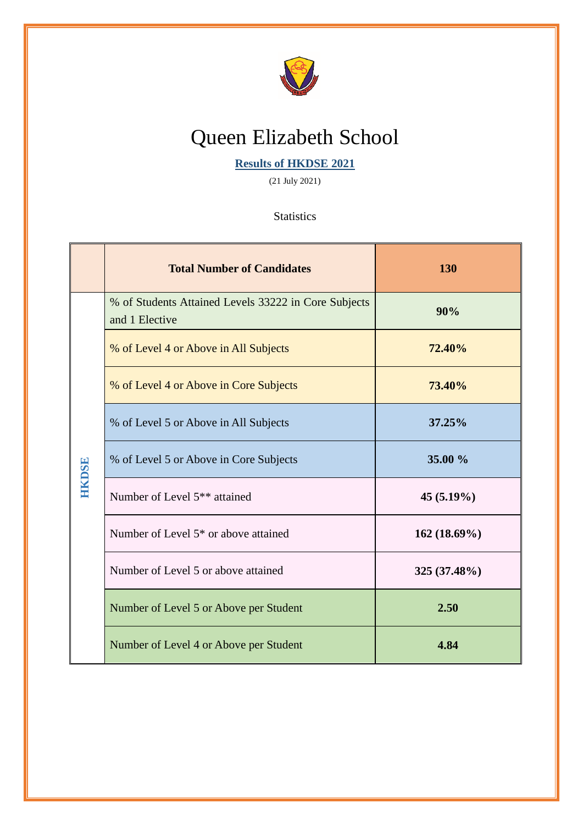

## Queen Elizabeth School

**Results of HKDSE 2021**

(21 July 2021)

**Statistics** 

|               | <b>Total Number of Candidates</b>                                      | 130            |
|---------------|------------------------------------------------------------------------|----------------|
| <b>HKIDSE</b> | % of Students Attained Levels 33222 in Core Subjects<br>and 1 Elective | 90%            |
|               | % of Level 4 or Above in All Subjects                                  | 72.40%         |
|               | % of Level 4 or Above in Core Subjects                                 | 73.40%         |
|               | % of Level 5 or Above in All Subjects                                  | 37.25%         |
|               | % of Level 5 or Above in Core Subjects                                 | 35.00 %        |
|               | Number of Level 5 <sup>**</sup> attained                               | $45(5.19\%)$   |
|               | Number of Level 5 <sup>*</sup> or above attained                       | $162(18.69\%)$ |
|               | Number of Level 5 or above attained                                    | 325 (37.48%)   |
|               | Number of Level 5 or Above per Student                                 | 2.50           |
|               | Number of Level 4 or Above per Student                                 | 4.84           |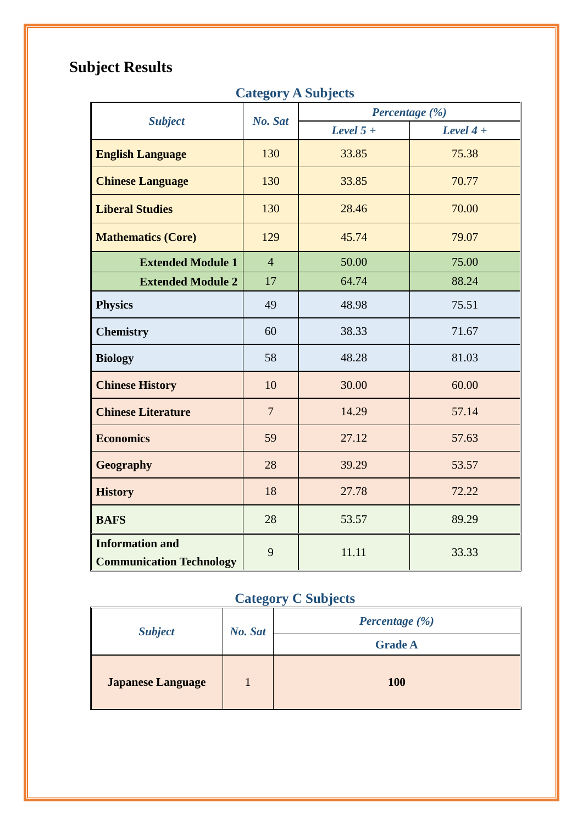### **Subject Results**

#### **Category A Subjects**

|                                                           |                | Percentage (%) |             |  |
|-----------------------------------------------------------|----------------|----------------|-------------|--|
| <b>Subject</b>                                            | No. Sat        | Level $5 +$    | Level $4 +$ |  |
| <b>English Language</b>                                   | 130            | 33.85          | 75.38       |  |
| <b>Chinese Language</b>                                   | 130            | 33.85          | 70.77       |  |
| <b>Liberal Studies</b>                                    | 130            | 28.46          | 70.00       |  |
| <b>Mathematics (Core)</b>                                 | 129            | 45.74          | 79.07       |  |
| <b>Extended Module 1</b>                                  | $\overline{4}$ | 50.00          | 75.00       |  |
| <b>Extended Module 2</b>                                  | 17             | 64.74          | 88.24       |  |
| <b>Physics</b>                                            | 49             | 48.98          | 75.51       |  |
| <b>Chemistry</b>                                          | 60             | 38.33          | 71.67       |  |
| <b>Biology</b>                                            | 58             | 48.28          | 81.03       |  |
| <b>Chinese History</b>                                    | 10             | 30.00          | 60.00       |  |
| <b>Chinese Literature</b>                                 | $\overline{7}$ | 14.29          | 57.14       |  |
| <b>Economics</b>                                          | 59             | 27.12          | 57.63       |  |
| Geography                                                 | 28             | 39.29          | 53.57       |  |
| <b>History</b>                                            | 18             | 27.78          | 72.22       |  |
| <b>BAFS</b>                                               | 28             | 53.57          | 89.29       |  |
| <b>Information and</b><br><b>Communication Technology</b> | 9              | 11.11          | 33.33       |  |

### **Category C Subjects**

| <b>Subject</b>           | No. Sat | Percentage (%) |  |
|--------------------------|---------|----------------|--|
|                          |         | <b>Grade A</b> |  |
| <b>Japanese Language</b> |         | <b>100</b>     |  |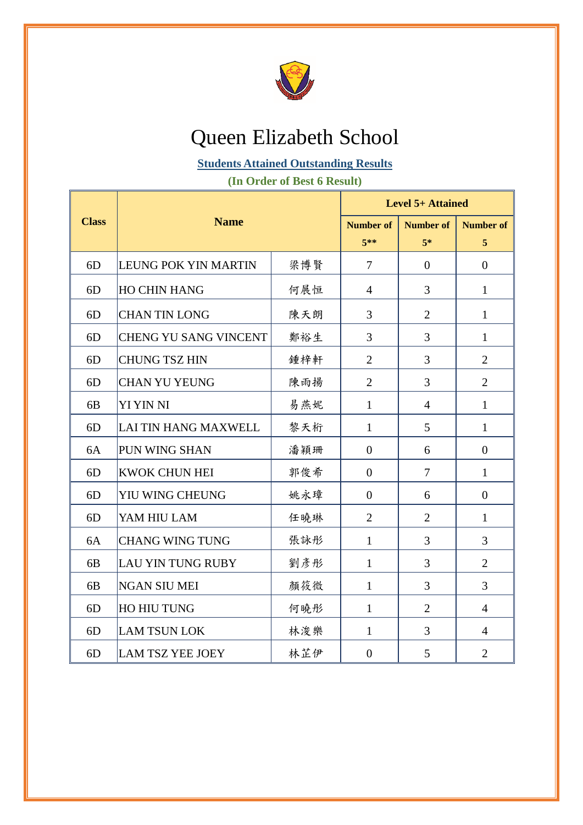

### Queen Elizabeth School

#### **Students Attained Outstanding Results**

**(In Order of Best 6 Result)**

|                | <b>Name</b>                  |     | <b>Level 5+ Attained</b> |                  |                  |  |
|----------------|------------------------------|-----|--------------------------|------------------|------------------|--|
| <b>Class</b>   |                              |     | <b>Number of</b>         | <b>Number of</b> | <b>Number of</b> |  |
|                |                              |     | $5**$                    | $5*$             | 5                |  |
| 6D             | LEUNG POK YIN MARTIN         | 梁博賢 | $\overline{7}$           | $\overline{0}$   | $\overline{0}$   |  |
| 6D             | <b>HO CHIN HANG</b>          | 何展恒 | $\overline{4}$           | 3                | $\mathbf{1}$     |  |
| 6D             | <b>CHAN TIN LONG</b>         | 陳天朗 | 3                        | $\overline{2}$   | $\mathbf{1}$     |  |
| 6D             | <b>CHENG YU SANG VINCENT</b> | 鄭裕生 | $\overline{3}$           | 3                | $\mathbf{1}$     |  |
| 6D             | <b>CHUNG TSZ HIN</b>         | 鍾梓軒 | $\overline{2}$           | 3                | $\overline{2}$   |  |
| 6D             | <b>CHAN YU YEUNG</b>         | 陳雨揚 | $\overline{2}$           | 3                | $\overline{2}$   |  |
| 6 <sub>B</sub> | YI YIN NI                    | 易燕妮 | $\mathbf{1}$             | $\overline{4}$   | $\mathbf{1}$     |  |
| 6 <sub>D</sub> | LAI TIN HANG MAXWELL         | 黎天桁 | $\mathbf{1}$             | 5                | $\mathbf{1}$     |  |
| 6A             | PUN WING SHAN                | 潘穎珊 | $\overline{0}$           | 6                | $\boldsymbol{0}$ |  |
| 6 <sub>D</sub> | <b>KWOK CHUN HEI</b>         | 郭俊希 | $\overline{0}$           | $\overline{7}$   | $\mathbf{1}$     |  |
| 6 <sub>D</sub> | YIU WING CHEUNG              | 姚永璋 | $\mathbf{0}$             | 6                | $\mathbf{0}$     |  |
| 6 <sub>D</sub> | YAM HIU LAM                  | 任曉琳 | $\overline{2}$           | $\overline{2}$   | $\mathbf{1}$     |  |
| 6A             | <b>CHANG WING TUNG</b>       | 張詠彤 | $\mathbf{1}$             | 3                | 3                |  |
| 6 <sub>B</sub> | LAU YIN TUNG RUBY            | 劉彥彤 | $\mathbf{1}$             | 3                | $\overline{2}$   |  |
| 6 <sub>B</sub> | <b>NGAN SIU MEI</b>          | 顏筱微 | $\mathbf{1}$             | 3                | 3                |  |
| 6D             | HO HIU TUNG                  | 何曉彤 | $\mathbf{1}$             | $\overline{2}$   | $\overline{4}$   |  |
| 6D             | <b>LAM TSUN LOK</b>          | 林浚樂 | $\mathbf{1}$             | 3                | $\overline{4}$   |  |
| 6D             | <b>LAM TSZ YEE JOEY</b>      | 林芷伊 | $\overline{0}$           | 5                | $\overline{2}$   |  |